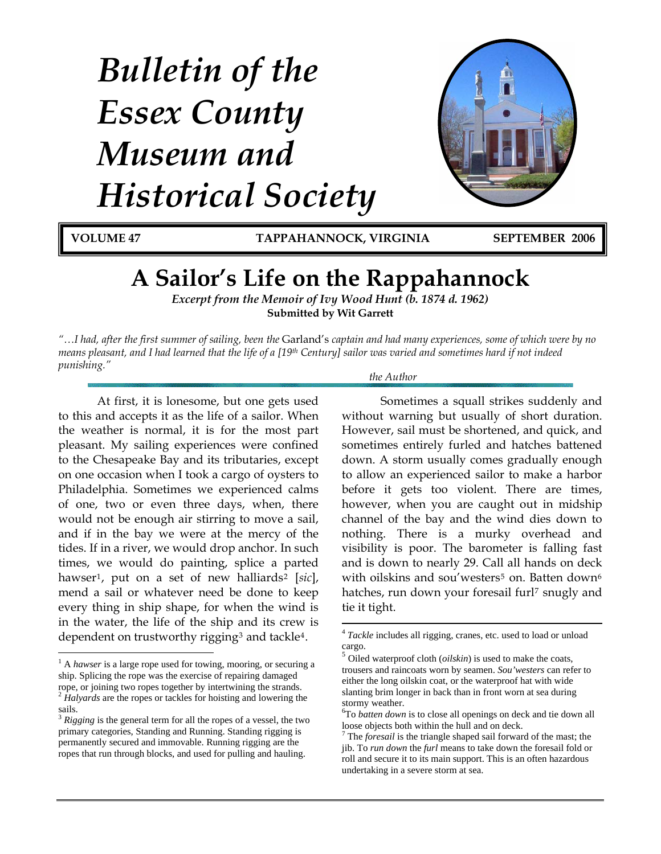# *Bulletin of the Essex County Museum and Historical Society*



<span id="page-0-3"></span> $\overline{a}$ 

**VOLUME 47 TAPPAHANNOCK, VIRGINIA SEPTEMBER 2006**

# **A Sailor's Life on the Rappahannock**

*Excerpt from the Memoir of Ivy Wood Hunt (b. 1874 d. 1962)*  **Submitted by Wit Garrett**

*"…I had, after the first summer of sailing, been the* Garland's *captain and had many experiences, some of which were by no means pleasant, and I had learned that the life of a [19th Century] sailor was varied and sometimes hard if not indeed punishing."* 

 $\overline{a}$ 

 At first, it is lonesome, but one gets used to this and accepts it as the life of a sailor. When the weather is normal, it is for the most part pleasant. My sailing experiences were confined to the Chesapeake Bay and its tributaries, except on one occasion when I took a cargo of oysters to Philadelphia. Sometimes we experienced calms of one, two or even three days, when, there would not be enough air stirring to move a sail, and if in the bay we were at the mercy of the tides. If in a river, we would drop anchor. In such times, we would do painting, splice a parted hawser<sup>[1](#page-0-0)</sup>, put on a set of new halliards<sup>[2](#page-0-1)</sup> [sic], mend a sail or whatever need be done to keep every thing in ship shape, for when the wind is in the water, the life of the ship and its crew is dependent on trustworthy rigging[3](#page-0-2) and tackle[4](#page-0-3).

#### *the Author*

Sometimes a squall strikes suddenly and without warning but usually of short duration. However, sail must be shortened, and quick, and sometimes entirely furled and hatches battened down. A storm usually comes gradually enough to allow an experienced sailor to make a harbor before it gets too violent. There are times, however, when you are caught out in midship channel of the bay and the wind dies down to nothing. There is a murky overhead and visibility is poor. The barometer is falling fast and is down to nearly 29. Call all hands on deck with oilskins and sou'westers<sup>[5](#page-0-4)</sup> on. Batten down<sup>[6](#page-0-5)</sup> hatches, run down your foresail furl<sup>[7](#page-0-6)</sup> snugly and tie it tight.

<span id="page-0-4"></span><span id="page-0-0"></span><sup>&</sup>lt;sup>1</sup> A *hawser* is a large rope used for towing, mooring, or securing a ship. Splicing the rope was the exercise of repairing damaged rope, or joining two ropes together by intertwining the strands. <sup>2</sup> *Halyards* are the ropes or tackles for hoisting and lowering the sails.

<span id="page-0-6"></span><span id="page-0-5"></span><span id="page-0-2"></span><span id="page-0-1"></span><sup>3</sup> *Rigging* is the general term for all the ropes of a vessel, the two primary categories, Standing and Running. Standing rigging is permanently secured and immovable. Running rigging are the ropes that run through blocks, and used for pulling and hauling.

<sup>4</sup> *Tackle* includes all rigging, cranes, etc. used to load or unload cargo.

<sup>5</sup> Oiled waterproof cloth (*oilskin*) is used to make the coats, trousers and raincoats worn by seamen. *Sou'westers* can refer to either the long oilskin coat, or the waterproof hat with wide slanting brim longer in back than in front worn at sea during stormy weather.

<sup>6</sup> To *batten down* is to close all openings on deck and tie down all loose objects both within the hull and on deck.

<sup>7</sup> The *foresail* is the triangle shaped sail forward of the mast; the jib. To *run down* the *furl* means to take down the foresail fold or roll and secure it to its main support. This is an often hazardous undertaking in a severe storm at sea.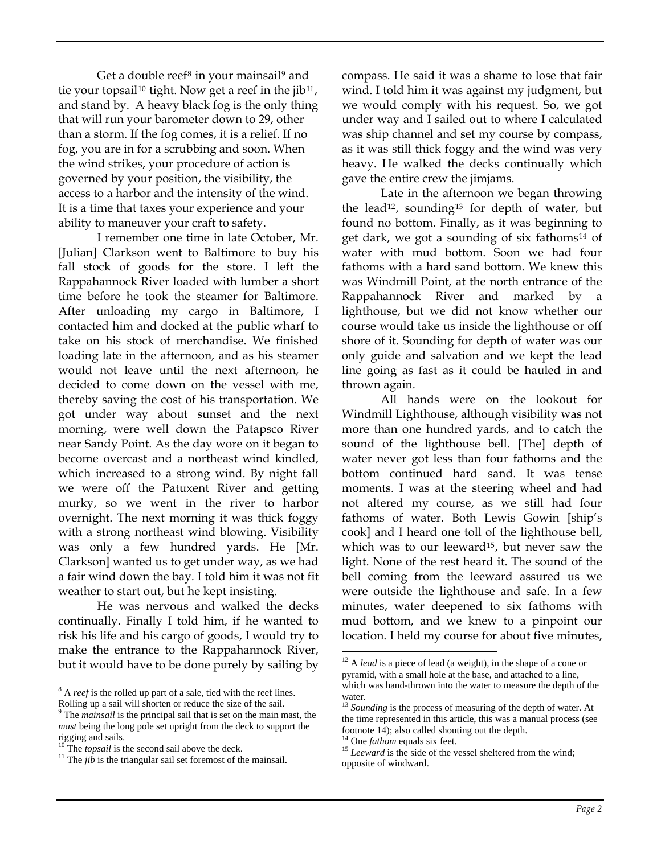Get a double reef<sup>[8](#page-1-0)</sup> in your mainsail<sup>[9](#page-1-1)</sup> and tie your topsail<sup>[10](#page-1-2)</sup> tight. Now get a reef in the  $jib^{11}$  $jib^{11}$  $jib^{11}$ , and stand by. A heavy black fog is the only thing that will run your barometer down to 29, other than a storm. If the fog comes, it is a relief. If no fog, you are in for a scrubbing and soon. When the wind strikes, your procedure of action is governed by your position, the visibility, the access to a harbor and the intensity of the wind. It is a time that taxes your experience and your ability to maneuver your craft to safety.

I remember one time in late October, Mr. [Julian] Clarkson went to Baltimore to buy his fall stock of goods for the store. I left the Rappahannock River loaded with lumber a short time before he took the steamer for Baltimore. After unloading my cargo in Baltimore, I contacted him and docked at the public wharf to take on his stock of merchandise. We finished loading late in the afternoon, and as his steamer would not leave until the next afternoon, he decided to come down on the vessel with me, thereby saving the cost of his transportation. We got under way about sunset and the next morning, were well down the Patapsco River near Sandy Point. As the day wore on it began to become overcast and a northeast wind kindled, which increased to a strong wind. By night fall we were off the Patuxent River and getting murky, so we went in the river to harbor overnight. The next morning it was thick foggy with a strong northeast wind blowing. Visibility was only a few hundred yards. He [Mr. Clarkson] wanted us to get under way, as we had a fair wind down the bay. I told him it was not fit weather to start out, but he kept insisting.

He was nervous and walked the decks continually. Finally I told him, if he wanted to risk his life and his cargo of goods, I would try to make the entrance to the Rappahannock River, but it would have to be done purely by sailing by

<span id="page-1-4"></span> $\overline{a}$ 

compass. He said it was a shame to lose that fair wind. I told him it was against my judgment, but we would comply with his request. So, we got under way and I sailed out to where I calculated was ship channel and set my course by compass, as it was still thick foggy and the wind was very heavy. He walked the decks continually which gave the entire crew the jimjams.

Late in the afternoon we began throwing the lead<sup>[12](#page-1-4)</sup>, sounding<sup>[13](#page-1-5)</sup> for depth of water, but found no bottom. Finally, as it was beginning to get dark, we got a sounding of six fathoms[14](#page-1-6) of water with mud bottom. Soon we had four fathoms with a hard sand bottom. We knew this was Windmill Point, at the north entrance of the Rappahannock River and marked by lighthouse, but we did not know whether our course would take us inside the lighthouse or off shore of it. Sounding for depth of water was our only guide and salvation and we kept the lead line going as fast as it could be hauled in and thrown again.

All hands were on the lookout for Windmill Lighthouse, although visibility was not more than one hundred yards, and to catch the sound of the lighthouse bell. [The] depth of water never got less than four fathoms and the bottom continued hard sand. It was tense moments. I was at the steering wheel and had not altered my course, as we still had four fathoms of water. Both Lewis Gowin [ship's cook] and I heard one toll of the lighthouse bell, which was to our leeward<sup>[15](#page-1-7)</sup>, but never saw the light. None of the rest heard it. The sound of the bell coming from the leeward assured us we were outside the lighthouse and safe. In a few minutes, water deepened to six fathoms with mud bottom, and we knew to a pinpoint our location. I held my course for about five minutes,

<span id="page-1-0"></span><sup>&</sup>lt;sup>8</sup> A *reef* is the rolled up part of a sale, tied with the reef lines. Rolling up a sail will shorten or reduce the size of the sail.

<span id="page-1-5"></span><span id="page-1-1"></span><sup>9</sup> The *mainsail* is the principal sail that is set on the main mast, the *mast* being the long pole set upright from the deck to support the rigging and sails.

<span id="page-1-7"></span><span id="page-1-6"></span><span id="page-1-3"></span><span id="page-1-2"></span><sup>&</sup>lt;sup>10</sup> The *topsail* is the second sail above the deck. <sup>11</sup> The *jib* is the triangular sail set foremost of the mainsail.

 $\overline{a}$ <sup>12</sup> A *lead* is a piece of lead (a weight), in the shape of a cone or pyramid, with a small hole at the base, and attached to a line, which was hand-thrown into the water to measure the depth of the water.

<sup>&</sup>lt;sup>13</sup> Sounding is the process of measuring of the depth of water. At the time represented in this article, this was a manual process (see footnote 14); also called shouting out the depth.  $14$  One *fathom* equals six feet.

<sup>&</sup>lt;sup>15</sup> Leeward is the side of the vessel sheltered from the wind; opposite of windward.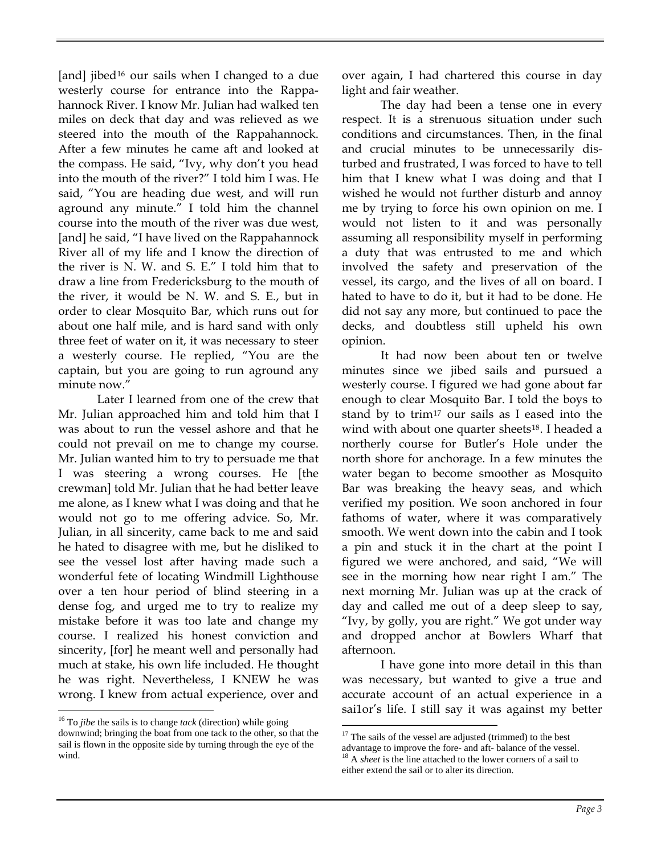[and] jibed<sup>[16](#page-2-0)</sup> our sails when I changed to a due westerly course for entrance into the Rappahannock River. I know Mr. Julian had walked ten miles on deck that day and was relieved as we steered into the mouth of the Rappahannock. After a few minutes he came aft and looked at the compass. He said, "Ivy, why don't you head into the mouth of the river?" I told him I was. He said, "You are heading due west, and will run aground any minute." I told him the channel course into the mouth of the river was due west, [and] he said, "I have lived on the Rappahannock River all of my life and I know the direction of the river is N. W. and S. E." I told him that to draw a line from Fredericksburg to the mouth of the river, it would be N. W. and S. E., but in order to clear Mosquito Bar, which runs out for about one half mile, and is hard sand with only three feet of water on it, it was necessary to steer a westerly course. He replied, "You are the captain, but you are going to run aground any minute now."

Later I learned from one of the crew that Mr. Julian approached him and told him that I was about to run the vessel ashore and that he could not prevail on me to change my course. Mr. Julian wanted him to try to persuade me that I was steering a wrong courses. He [the crewman] told Mr. Julian that he had better leave me alone, as I knew what I was doing and that he would not go to me offering advice. So, Mr. Julian, in all sincerity, came back to me and said he hated to disagree with me, but he disliked to see the vessel lost after having made such a wonderful fete of locating Windmill Lighthouse over a ten hour period of blind steering in a dense fog, and urged me to try to realize my mistake before it was too late and change my course. I realized his honest conviction and sincerity, [for] he meant well and personally had much at stake, his own life included. He thought he was right. Nevertheless, I KNEW he was wrong. I knew from actual experience, over and

 $\overline{a}$ 

over again, I had chartered this course in day light and fair weather.

The day had been a tense one in every respect. It is a strenuous situation under such conditions and circumstances. Then, in the final and crucial minutes to be unnecessarily disturbed and frustrated, I was forced to have to tell him that I knew what I was doing and that I wished he would not further disturb and annoy me by trying to force his own opinion on me. I would not listen to it and was personally assuming all responsibility myself in performing a duty that was entrusted to me and which involved the safety and preservation of the vessel, its cargo, and the lives of all on board. I hated to have to do it, but it had to be done. He did not say any more, but continued to pace the decks, and doubtless still upheld his own opinion.

It had now been about ten or twelve minutes since we jibed sails and pursued a westerly course. I figured we had gone about far enough to clear Mosquito Bar. I told the boys to stand by to trim<sup>[17](#page-2-1)</sup> our sails as I eased into the wind with about one quarter sheets<sup>[18](#page-2-2)</sup>. I headed a northerly course for Butler's Hole under the north shore for anchorage. In a few minutes the water began to become smoother as Mosquito Bar was breaking the heavy seas, and which verified my position. We soon anchored in four fathoms of water, where it was comparatively smooth. We went down into the cabin and I took a pin and stuck it in the chart at the point I figured we were anchored, and said, "We will see in the morning how near right I am." The next morning Mr. Julian was up at the crack of day and called me out of a deep sleep to say, "Ivy, by golly, you are right." We got under way and dropped anchor at Bowlers Wharf that afternoon.

I have gone into more detail in this than was necessary, but wanted to give a true and accurate account of an actual experience in a sai1or's life. I still say it was against my better

<span id="page-2-2"></span><span id="page-2-1"></span><span id="page-2-0"></span> <sup>16</sup> To *jibe* the sails is to change *tack* (direction) while going downwind; bringing the boat from one tack to the other, so that the sail is flown in the opposite side by turning through the eye of the wind.

<sup>&</sup>lt;sup>17</sup> The sails of the vessel are adjusted (trimmed) to the best

advantage to improve the fore- and aft- balance of the vessel. 18 A *sheet* is the line attached to the lower corners of a sail to either extend the sail or to alter its direction.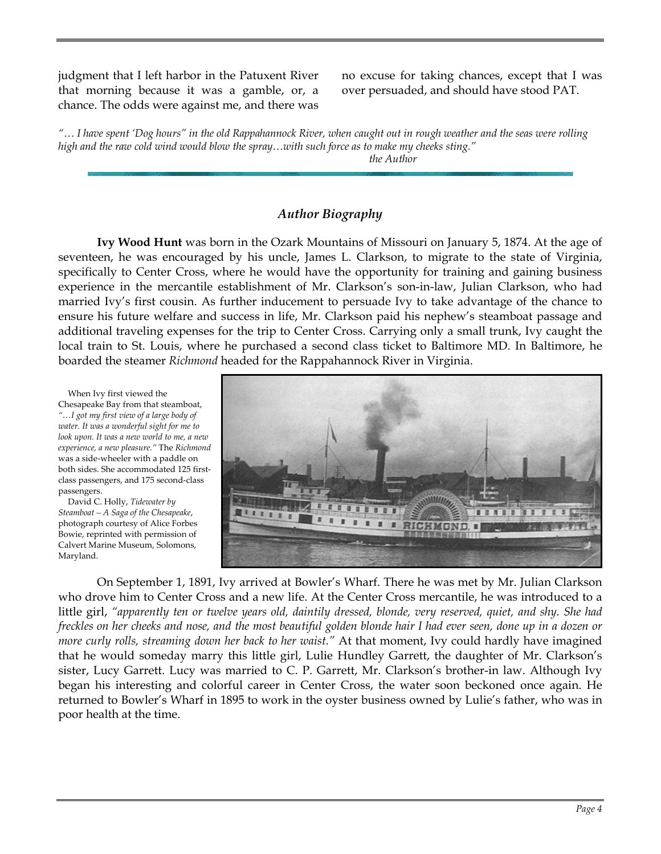judgment that I left harbor in the Patuxent River that morning because it was a gamble, or, a chance. The odds were against me, and there was no excuse for taking chances, except that I was over persuaded, and should have stood PAT.

*"… I have spent 'Dog hours" in the old Rappahannock River, when caught out in rough weather and the seas were rolling high and the raw cold wind would blow the spray…with such force as to make my cheeks sting."* 

 *the Author*

### *Author Biography*

**Ivy Wood Hunt** was born in the Ozark Mountains of Missouri on January 5, 1874. At the age of seventeen, he was encouraged by his uncle, James L. Clarkson, to migrate to the state of Virginia, specifically to Center Cross, where he would have the opportunity for training and gaining business experience in the mercantile establishment of Mr. Clarkson's son-in-law, Julian Clarkson, who had married Ivy's first cousin. As further inducement to persuade Ivy to take advantage of the chance to ensure his future welfare and success in life, Mr. Clarkson paid his nephew's steamboat passage and additional traveling expenses for the trip to Center Cross. Carrying only a small trunk, Ivy caught the local train to St. Louis, where he purchased a second class ticket to Baltimore MD. In Baltimore, he boarded the steamer *Richmond* headed for the Rappahannock River in Virginia.



On September 1, 1891, Ivy arrived at Bowler's Wharf. There he was met by Mr. Julian Clarkson who drove him to Center Cross and a new life. At the Center Cross mercantile, he was introduced to a little girl, *"apparently ten or twelve years old, daintily dressed, blonde, very reserved, quiet, and shy. She had freckles on her cheeks and nose, and the most beautiful golden blonde hair I had ever seen, done up in a dozen or more curly rolls, streaming down her back to her waist."* At that moment, Ivy could hardly have imagined that he would someday marry this little girl, Lulie Hundley Garrett, the daughter of Mr. Clarkson's sister, Lucy Garrett. Lucy was married to C. P. Garrett, Mr. Clarkson's brother-in law. Although Ivy began his interesting and colorful career in Center Cross, the water soon beckoned once again. He returned to Bowler's Wharf in 1895 to work in the oyster business owned by Lulie's father, who was in poor health at the time.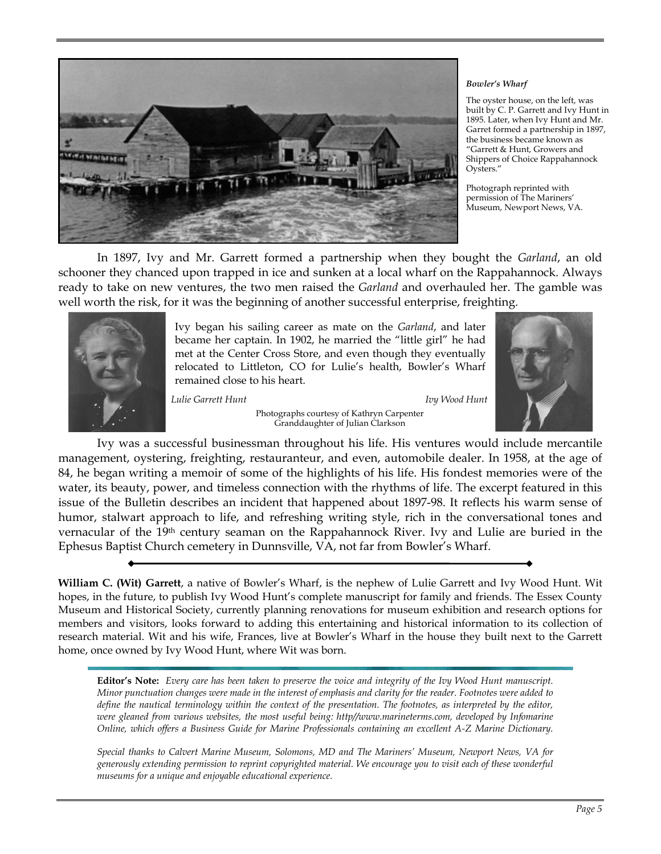

#### *Bowler's Wharf*

The oyster house, on the left, was built by C. P. Garrett and Ivy Hunt in 1895. Later, when Ivy Hunt and Mr. Garret formed a partnership in 1897, the business became known as "Garrett & Hunt, Growers and Shippers of Choice Rappahannock Oysters."

Photograph reprinted with permission of The Mariners' Museum, Newport News, VA.

In 1897, Ivy and Mr. Garrett formed a partnership when they bought the *Garland*, an old schooner they chanced upon trapped in ice and sunken at a local wharf on the Rappahannock. Always ready to take on new ventures, the two men raised the *Garland* and overhauled her. The gamble was well worth the risk, for it was the beginning of another successful enterprise, freighting.



Ivy began his sailing career as mate on the *Garland*, and later became her captain. In 1902, he married the "little girl" he had met at the Center Cross Store, and even though they eventually relocated to Littleton, CO for Lulie's health, Bowler's Wharf remained close to his heart.

*Lulie Garrett Hunt Ivy Wood Hunt* 



Photographs courtesy of Kathryn Carpenter Granddaughter of Julian Clarkson

Ivy was a successful businessman throughout his life. His ventures would include mercantile management, oystering, freighting, restauranteur, and even, automobile dealer. In 1958, at the age of 84, he began writing a memoir of some of the highlights of his life. His fondest memories were of the water, its beauty, power, and timeless connection with the rhythms of life. The excerpt featured in this issue of the Bulletin describes an incident that happened about 1897-98. It reflects his warm sense of humor, stalwart approach to life, and refreshing writing style, rich in the conversational tones and vernacular of the 19th century seaman on the Rappahannock River. Ivy and Lulie are buried in the Ephesus Baptist Church cemetery in Dunnsville, VA, not far from Bowler's Wharf.

**William C. (Wit) Garrett**, a native of Bowler's Wharf, is the nephew of Lulie Garrett and Ivy Wood Hunt. Wit hopes, in the future, to publish Ivy Wood Hunt's complete manuscript for family and friends. The Essex County Museum and Historical Society, currently planning renovations for museum exhibition and research options for members and visitors, looks forward to adding this entertaining and historical information to its collection of research material. Wit and his wife, Frances, live at Bowler's Wharf in the house they built next to the Garrett home, once owned by Ivy Wood Hunt, where Wit was born.

**Editor's Note:** *Every care has been taken to preserve the voice and integrity of the Ivy Wood Hunt manuscript. Minor punctuation changes were made in the interest of emphasis and clarity for the reader. Footnotes were added to*  define the nautical terminology within the context of the presentation. The footnotes, as interpreted by the editor, *were gleaned from various websites, the most useful being: http//www.marineterms.com, developed by Infomarine Online, which offers a Business Guide for Marine Professionals containing an excellent A-Z Marine Dictionary.* 

*Special thanks to Calvert Marine Museum, Solomons, MD and The Mariners' Museum, Newport News, VA for generously extending permission to reprint copyrighted material. We encourage you to visit each of these wonderful museums for a unique and enjoyable educational experience.*